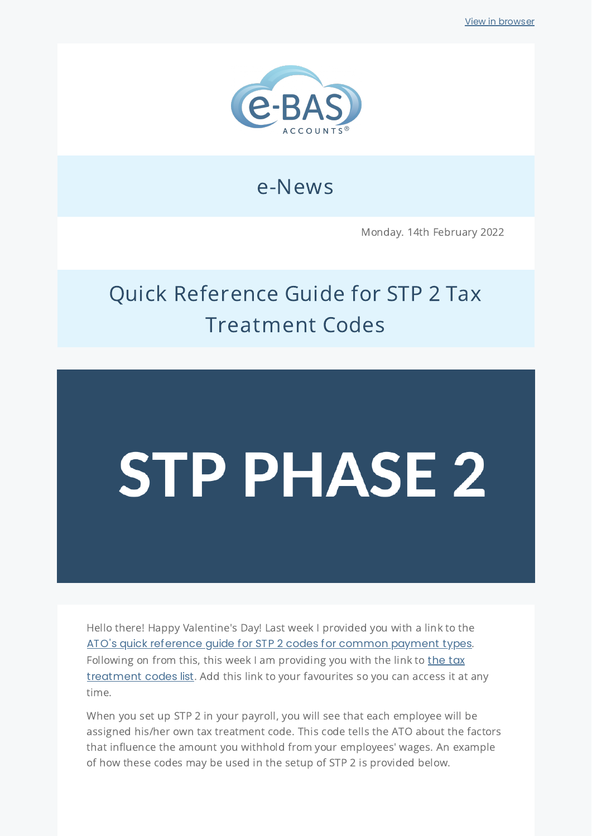

# e-News

Monday. 14th February 2022

# Quick Reference Guide for STP 2 Tax Treatment Codes

# **STP PHASE 2**

Hello there! Happy Valentine's Day! Last week I provided you with a link to the ATO's quick [reference](https://www.ato.gov.au/Business/Single-Touch-Payroll/In-detail/Single-Touch-Payroll-Phase-2-employer-reporting-guidelines/?page=12#:~:text=You%20are%20here.-,Quick%20reference%20guide,-This%20quick%20reference) guide for STP 2 codes for common payment types. Following on from this, this week I am providing you with the link to the tax [treatment](https://www.ato.gov.au/Business/Single-Touch-Payroll/In-detail/Single-Touch-Payroll-Phase-2-employer-reporting-guidelines/?page=3#:~:text=the%20work%20pattern.-,Tax%20treatment,-Your%20STP%20Phase) codes list. Add this link to your favourites so you can access it at any time.

When you set up STP 2 in your payroll, you will see that each employee will be assigned his/her own tax treatment code. This code tells the ATO about the factors that influence the amount you withhold from your employees' wages. An example of how these codes may be used in the setup of STP 2 is provided below.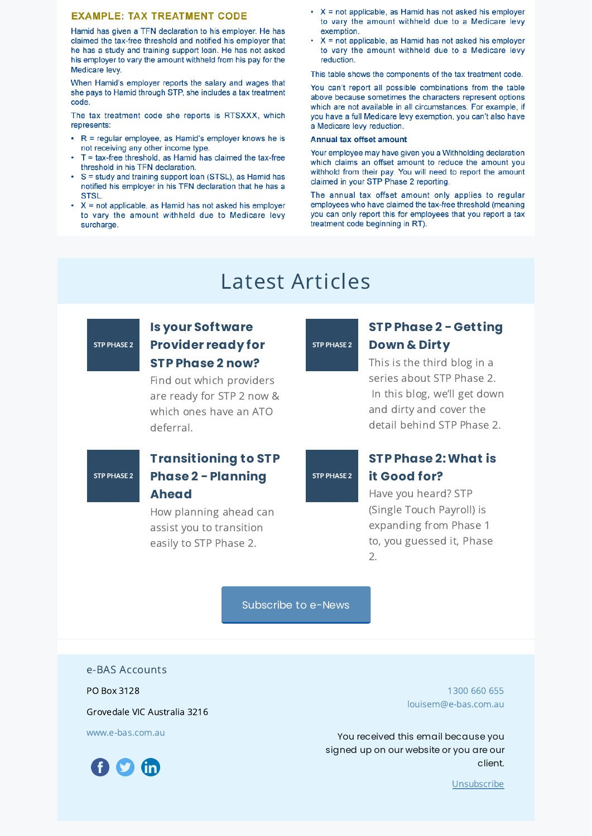#### **EXAMPLE: TAX TREATMENT CODE**

Hamid has given a TFN declaration to his employer. He has claimed the tax-free threshold and notified his employer that he has a study and training support loan. He has not asked his employer to vary the amount withheld from his pay for the Medicare levy.

When Hamid's employer reports the salary and wages that she pays to Hamid through STP, she includes a tax treatment code

The tax treatment code she reports is RTSXXX, which represents:

- R = regular employee, as Hamid's employer knows he is not receiving any other income type.
- T = tax-free threshold, as Hamid has claimed the tax-free threshold in his TFN declaration.
- S = study and training support loan (STSL), as Hamid has notified his employer in his TFN declaration that he has a STSL.
- $\cdot$  X = not applicable, as Hamid has not asked his employer to vary the amount withheld due to Medicare levy surcharge.
- $X =$  not applicable, as Hamid has not asked his employer to vary the amount withheld due to a Medicare levy exemption.
- $X = not$  applicable, as Hamid has not asked his employer to vary the amount withheld due to a Medicare levy reduction.

This table shows the components of the tax treatment code.

You can't report all possible combinations from the table above because sometimes the characters represent options which are not available in all circumstances. For example, if you have a full Medicare levy exemption, you can't also have a Medicare levy reduction.

#### **Annual tax offset amount**

Your employee may have given you a Withholding declaration which claims an offset amount to reduce the amount you withhold from their pay. You will need to report the amount claimed in your STP Phase 2 reporting.

The annual tax offset amount only applies to regular employees who have claimed the tax-free threshold (meaning you can only report this for employees that you report a tax treatment code beginning in RT).

## Latest Articles

## STP PHASE 2

#### **Is your [Software](https://www.e-bas.com.au/is-your-software-provider-ready-for-stp-phase-2-now/) Provider ready for STP Phase 2 now?**

Find out which providers are ready for STP 2 now & which ones have an ATO deferral.

**STP PHASE 2** 

#### **[Transitioning](https://www.e-bas.com.au/transitioning-to-stp-phase-2-planning-ahead/) to STP Phase 2 - Planning Ahead**

How planning ahead can assist you to transition easily to STP Phase 2.

#### STP PHASE 2

#### **STP Phase 2 - [Getting](https://www.e-bas.com.au/stp-phase-2-getting-down-and-dirty/) Down & Dirty**

This is the third blog in a series about STP Phase 2. In this blog, we'll get down and dirty and cover the detail behind STP Phase 2.

#### **STP PHASE 2**

#### **STP Phase [2:What](https://www.e-bas.com.au/stp-phase-2-what-is-it-good-for/) is it Good for?**

Have you heard? STP (Single Touch Payroll) is expanding from Phase 1 to, you guessed it, Phase 2.

[Subscribe](https://landing.mailerlite.com/webforms/landing/v8m1z3) to e-News

e-BAS Accounts

PO Box 3128

Grovedale VIC Australia 3216

[www.e-bas.com.au](https://www.e-bas.com.au/)



[1300](tel:1300 660 655) 660 655 [louisem@e-bas.com.au](mailto:louisem@e-bas.com.au)

You received this email because you signed up on our website or you are our client.

[Unsubscribe](http://localhost:3000/decode_hex/68747470733a2f2f707265766965772e6d61696c65726c6974652e636f6d2f693777316a3971306c36)